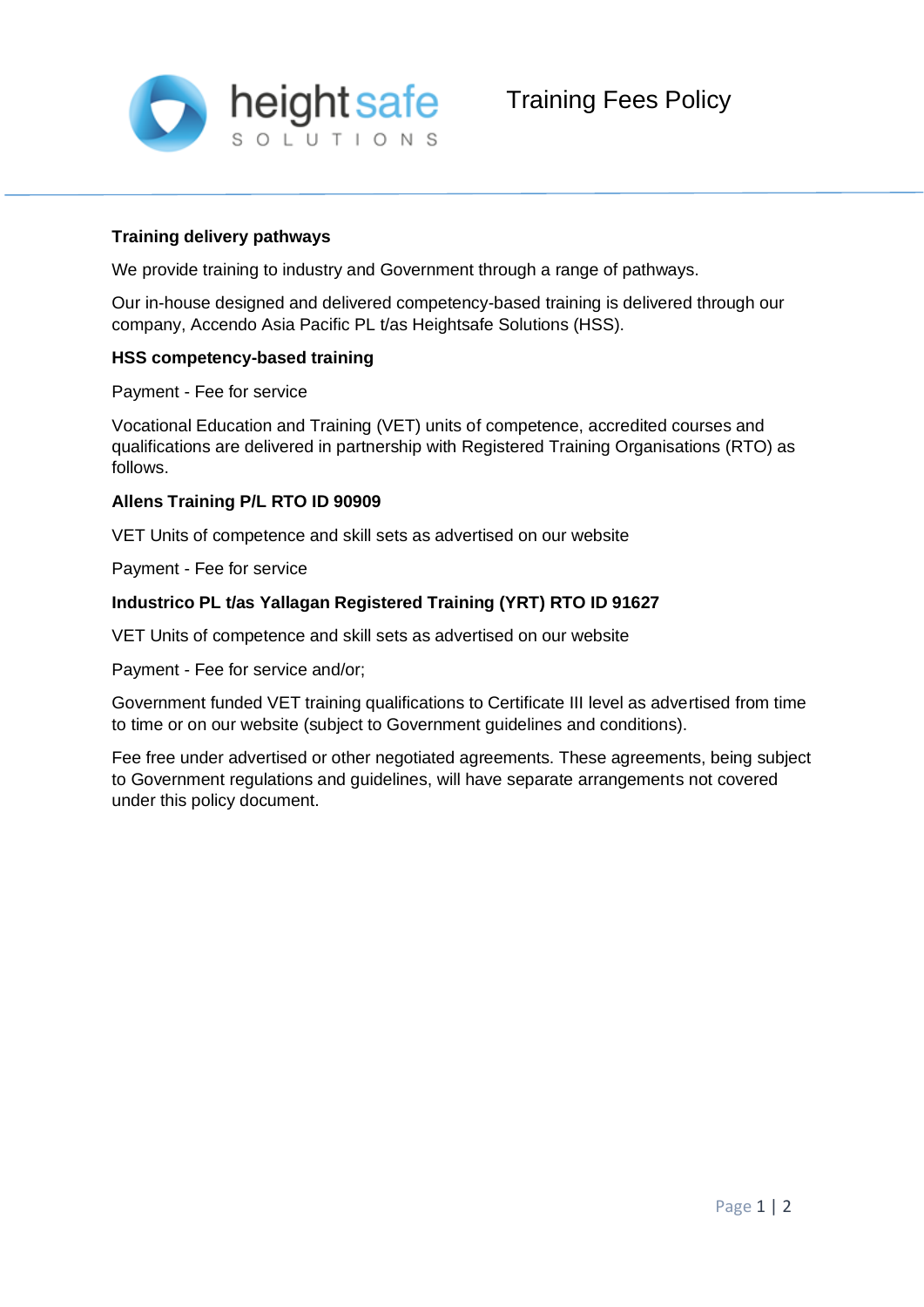

# **Training delivery pathways**

We provide training to industry and Government through a range of pathways.

Our in-house designed and delivered competency-based training is delivered through our company, Accendo Asia Pacific PL t/as Heightsafe Solutions (HSS).

# **HSS competency-based training**

Payment - Fee for service

Vocational Education and Training (VET) units of competence, accredited courses and qualifications are delivered in partnership with Registered Training Organisations (RTO) as follows.

### **Allens Training P/L RTO ID 90909**

VET Units of competence and skill sets as advertised on our website

Payment - Fee for service

# **Industrico PL t/as Yallagan Registered Training (YRT) RTO ID 91627**

VET Units of competence and skill sets as advertised on our website

Payment - Fee for service and/or;

Government funded VET training qualifications to Certificate III level as advertised from time to time or on our website (subject to Government guidelines and conditions).

Fee free under advertised or other negotiated agreements. These agreements, being subject to Government regulations and guidelines, will have separate arrangements not covered under this policy document.